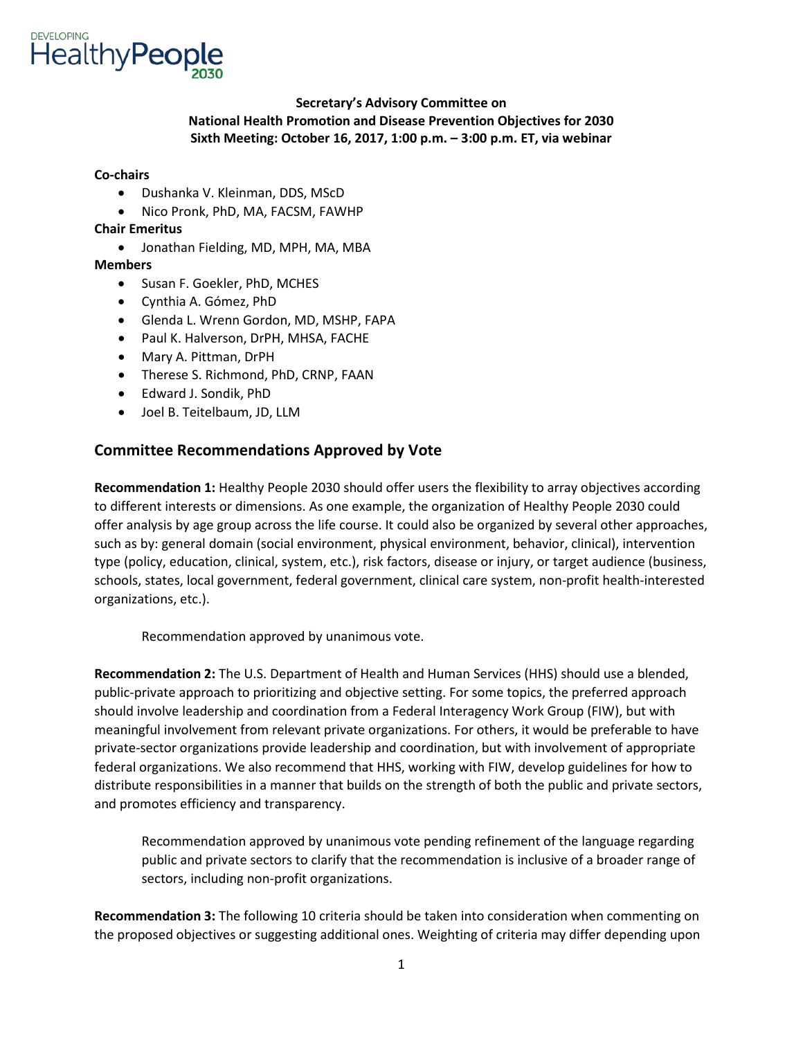

## **Sixth Meeting: October 16, 2017, 1:00 p.m. – 3:00 p.m. ET, via webinar Secretary's Advisory Committee on National Health Promotion and Disease Prevention Objectives for 2030**

#### **Co-chairs**

- Dushanka V. Kleinman, DDS, MScD
- Nico Pronk, PhD, MA, FACSM, FAWHP

### **Chair Emeritus**

• Jonathan Fielding, MD, MPH, MA, MBA

### **Members**

- Susan F. Goekler, PhD, MCHES
- Cynthia A. Gómez, PhD
- Glenda L. Wrenn Gordon, MD, MSHP, FAPA
- Paul K. Halverson, DrPH, MHSA, FACHE
- Mary A. Pittman, DrPH
- Therese S. Richmond, PhD, CRNP, FAAN
- Edward J. Sondik, PhD
- Joel B. Teitelbaum, JD, LLM

## **Committee Recommendations Approved by Vote**

 **Recommendation 1:** Healthy People 2030 should offer users the flexibility to array objectives according to different interests or dimensions. As one example, the organization of Healthy People 2030 could type (policy, education, clinical, system, etc.), risk factors, disease or injury, or target audience (business, offer analysis by age group across the life course. It could also be organized by several other approaches, such as by: general domain (social environment, physical environment, behavior, clinical), intervention schools, states, local government, federal government, clinical care system, non-profit health-interested organizations, etc.).

Recommendation approved by unanimous vote.

 should involve leadership and coordination from a Federal Interagency Work Group (FIW), but with federal organizations. We also recommend that HHS, working with FIW, develop guidelines for how to distribute responsibilities in a manner that builds on the strength of both the public and private sectors, **Recommendation 2:** The U.S. Department of Health and Human Services (HHS) should use a blended, public-private approach to prioritizing and objective setting. For some topics, the preferred approach meaningful involvement from relevant private organizations. For others, it would be preferable to have private-sector organizations provide leadership and coordination, but with involvement of appropriate and promotes efficiency and transparency.

Recommendation approved by unanimous vote pending refinement of the language regarding public and private sectors to clarify that the recommendation is inclusive of a broader range of sectors, including non-profit organizations.

 **Recommendation 3:** The following 10 criteria should be taken into consideration when commenting on the proposed objectives or suggesting additional ones. Weighting of criteria may differ depending upon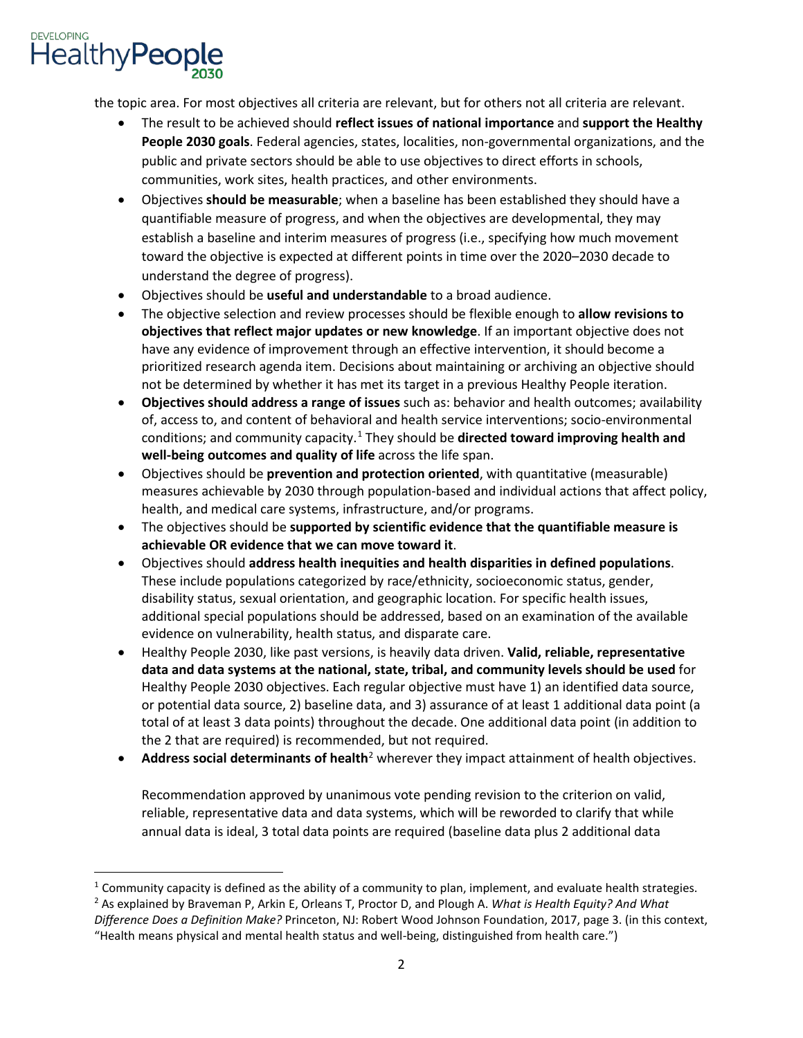

l

the topic area. For most objectives all criteria are relevant, but for others not all criteria are relevant.

- **People 2030 goals**. Federal agencies, states, localities, non-governmental organizations, and the public and private sectors should be able to use objectives to direct efforts in schools, • The result to be achieved should **reflect issues of national importance** and **support the Healthy**  communities, work sites, health practices, and other environments.
- • Objectives **should be measurable**; when a baseline has been established they should have a quantifiable measure of progress, and when the objectives are developmental, they may establish a baseline and interim measures of progress (i.e., specifying how much movement toward the objective is expected at different points in time over the 2020–2030 decade to understand the degree of progress).
- Objectives should be **useful and understandable** to a broad audience.
- have any evidence of improvement through an effective intervention, it should become a • The objective selection and review processes should be flexible enough to **allow revisions to objectives that reflect major updates or new knowledge**. If an important objective does not prioritized research agenda item. Decisions about maintaining or archiving an objective should not be determined by whether it has met its target in a previous Healthy People iteration.
- **Objectives should address a range of issues** such as: behavior and health outcomes; availability of, access to, and content of behavioral and health service interventions; socio-environmental conditions; and community capacity.[1](#page-1-0) They should be **directed toward improving health and well-being outcomes and quality of life** across the life span.
- • Objectives should be **prevention and protection oriented**, with quantitative (measurable) measures achievable by 2030 through population-based and individual actions that affect policy, health, and medical care systems, infrastructure, and/or programs.
- The objectives should be **supported by scientific evidence that the quantifiable measure is achievable OR evidence that we can move toward it**.
- disability status, sexual orientation, and geographic location. For specific health issues, • Objectives should **address health inequities and health disparities in defined populations**. These include populations categorized by race/ethnicity, socioeconomic status, gender, additional special populations should be addressed, based on an examination of the available evidence on vulnerability, health status, and disparate care.
- • Healthy People 2030, like past versions, is heavily data driven. **Valid, reliable, representative data and data systems at the national, state, tribal, and community levels should be used** for total of at least 3 data points) throughout the decade. One additional data point (in addition to Healthy People 2030 objectives. Each regular objective must have 1) an identified data source, or potential data source, 2) baseline data, and 3) assurance of at least 1 additional data point (a the 2 that are required) is recommended, but not required.
- **Address social determinants of health**<sup>2</sup> wherever they impact attainment of health objectives.

 Recommendation approved by unanimous vote pending revision to the criterion on valid, reliable, representative data and data systems, which will be reworded to clarify that while annual data is ideal, 3 total data points are required (baseline data plus 2 additional data

<span id="page-1-0"></span> $1$  Community capacity is defined as the ability of a community to plan, implement, and evaluate health strategies.

<span id="page-1-1"></span><sup>2</sup> As explained by Braveman P, Arkin E, Orleans T, Proctor D, and Plough A. *What is Health Equity? And What Difference Does a Definition Make?* Princeton, NJ: Robert Wood Johnson Foundation, 2017, page 3. (in this context, "Health means physical and mental health status and well-being, distinguished from health care.")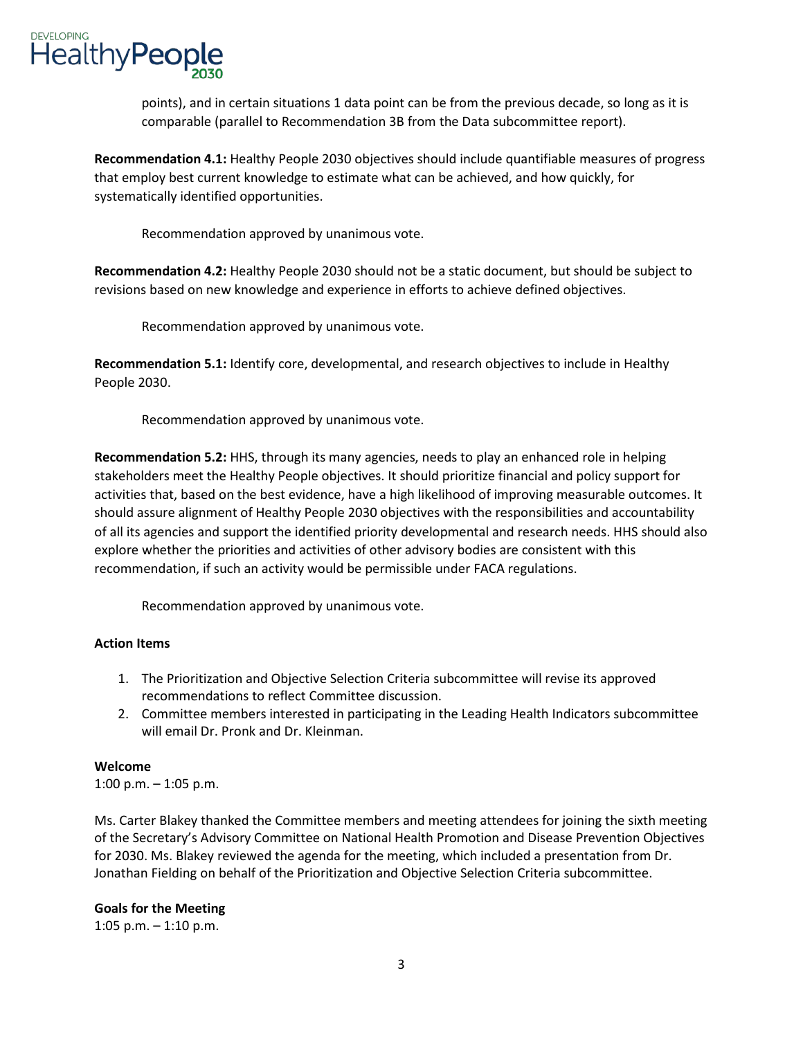

points), and in certain situations 1 data point can be from the previous decade, so long as it is comparable (parallel to Recommendation 3B from the Data subcommittee report).

 **Recommendation 4.1:** Healthy People 2030 objectives should include quantifiable measures of progress that employ best current knowledge to estimate what can be achieved, and how quickly, for systematically identified opportunities.

Recommendation approved by unanimous vote.

 **Recommendation 4.2:** Healthy People 2030 should not be a static document, but should be subject to revisions based on new knowledge and experience in efforts to achieve defined objectives.

Recommendation approved by unanimous vote.

**Recommendation 5.1:** Identify core, developmental, and research objectives to include in Healthy People 2030.

Recommendation approved by unanimous vote.

 explore whether the priorities and activities of other advisory bodies are consistent with this **Recommendation 5.2:** HHS, through its many agencies, needs to play an enhanced role in helping stakeholders meet the Healthy People objectives. It should prioritize financial and policy support for activities that, based on the best evidence, have a high likelihood of improving measurable outcomes. It should assure alignment of Healthy People 2030 objectives with the responsibilities and accountability of all its agencies and support the identified priority developmental and research needs. HHS should also recommendation, if such an activity would be permissible under FACA regulations.

Recommendation approved by unanimous vote.

### **Action Items**

- 1. The Prioritization and Objective Selection Criteria subcommittee will revise its approved recommendations to reflect Committee discussion.
- 2. Committee members interested in participating in the Leading Health Indicators subcommittee will email Dr. Pronk and Dr. Kleinman.

#### **Welcome**

1:00 p.m. – 1:05 p.m.

 Ms. Carter Blakey thanked the Committee members and meeting attendees for joining the sixth meeting of the Secretary's Advisory Committee on National Health Promotion and Disease Prevention Objectives for 2030. Ms. Blakey reviewed the agenda for the meeting, which included a presentation from Dr. Jonathan Fielding on behalf of the Prioritization and Objective Selection Criteria subcommittee.

### **Goals for the Meeting**

1:05 p.m. – 1:10 p.m.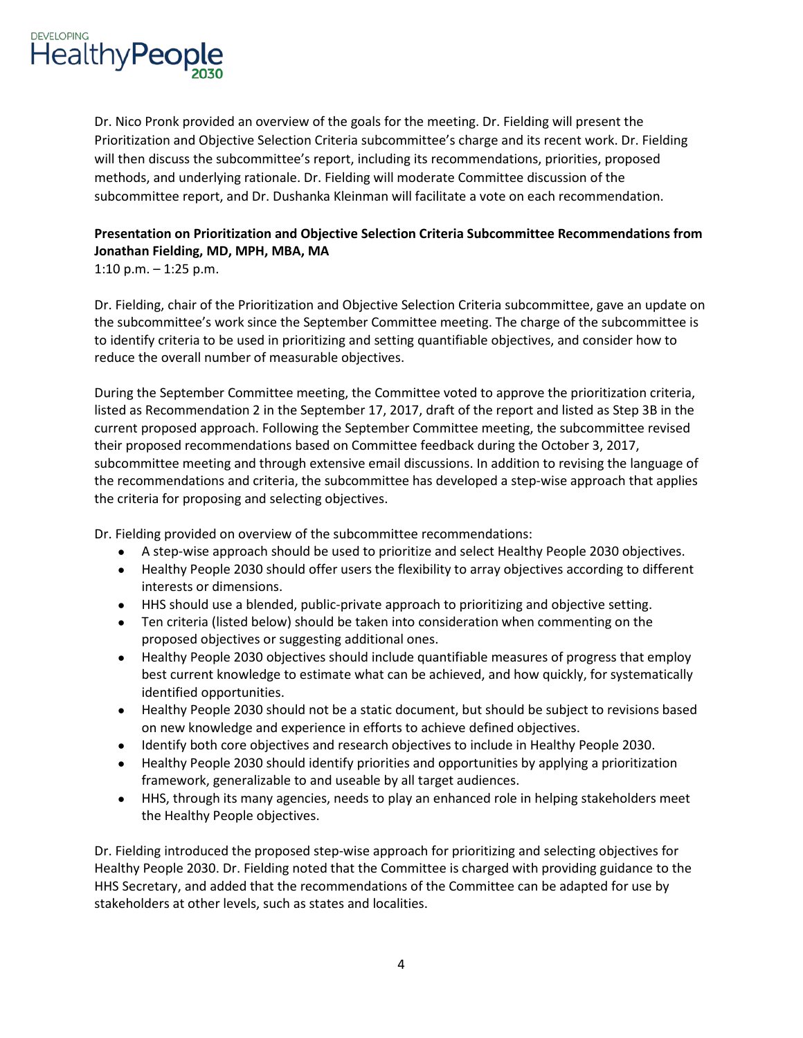

 Dr. Nico Pronk provided an overview of the goals for the meeting. Dr. Fielding will present the Prioritization and Objective Selection Criteria subcommittee's charge and its recent work. Dr. Fielding will then discuss the subcommittee's report, including its recommendations, priorities, proposed subcommittee report, and Dr. Dushanka Kleinman will facilitate a vote on each recommendation. methods, and underlying rationale. Dr. Fielding will moderate Committee discussion of the

# **Presentation on Prioritization and Objective Selection Criteria Subcommittee Recommendations from Jonathan Fielding, MD, MPH, MBA, MA**

1:10 p.m. – 1:25 p.m.

 reduce the overall number of measurable objectives. Dr. Fielding, chair of the Prioritization and Objective Selection Criteria subcommittee, gave an update on the subcommittee's work since the September Committee meeting. The charge of the subcommittee is to identify criteria to be used in prioritizing and setting quantifiable objectives, and consider how to

 their proposed recommendations based on Committee feedback during the October 3, 2017, subcommittee meeting and through extensive email discussions. In addition to revising the language of the recommendations and criteria, the subcommittee has developed a step-wise approach that applies the criteria for proposing and selecting objectives. During the September Committee meeting, the Committee voted to approve the prioritization criteria, listed as Recommendation 2 in the September 17, 2017, draft of the report and listed as Step 3B in the current proposed approach. Following the September Committee meeting, the subcommittee revised

Dr. Fielding provided on overview of the subcommittee recommendations:

- A step-wise approach should be used to prioritize and select Healthy People 2030 objectives.
- • Healthy People 2030 should offer users the flexibility to array objectives according to different interests or dimensions.
- HHS should use a blended, public-private approach to prioritizing and objective setting.
- Ten criteria (listed below) should be taken into consideration when commenting on the proposed objectives or suggesting additional ones.
- • Healthy People 2030 objectives should include quantifiable measures of progress that employ best current knowledge to estimate what can be achieved, and how quickly, for systematically identified opportunities.
- • Healthy People 2030 should not be a static document, but should be subject to revisions based on new knowledge and experience in efforts to achieve defined objectives.
- Identify both core objectives and research objectives to include in Healthy People 2030.
- • Healthy People 2030 should identify priorities and opportunities by applying a prioritization framework, generalizable to and useable by all target audiences.
- • HHS, through its many agencies, needs to play an enhanced role in helping stakeholders meet the Healthy People objectives.

 HHS Secretary, and added that the recommendations of the Committee can be adapted for use by Dr. Fielding introduced the proposed step-wise approach for prioritizing and selecting objectives for Healthy People 2030. Dr. Fielding noted that the Committee is charged with providing guidance to the stakeholders at other levels, such as states and localities.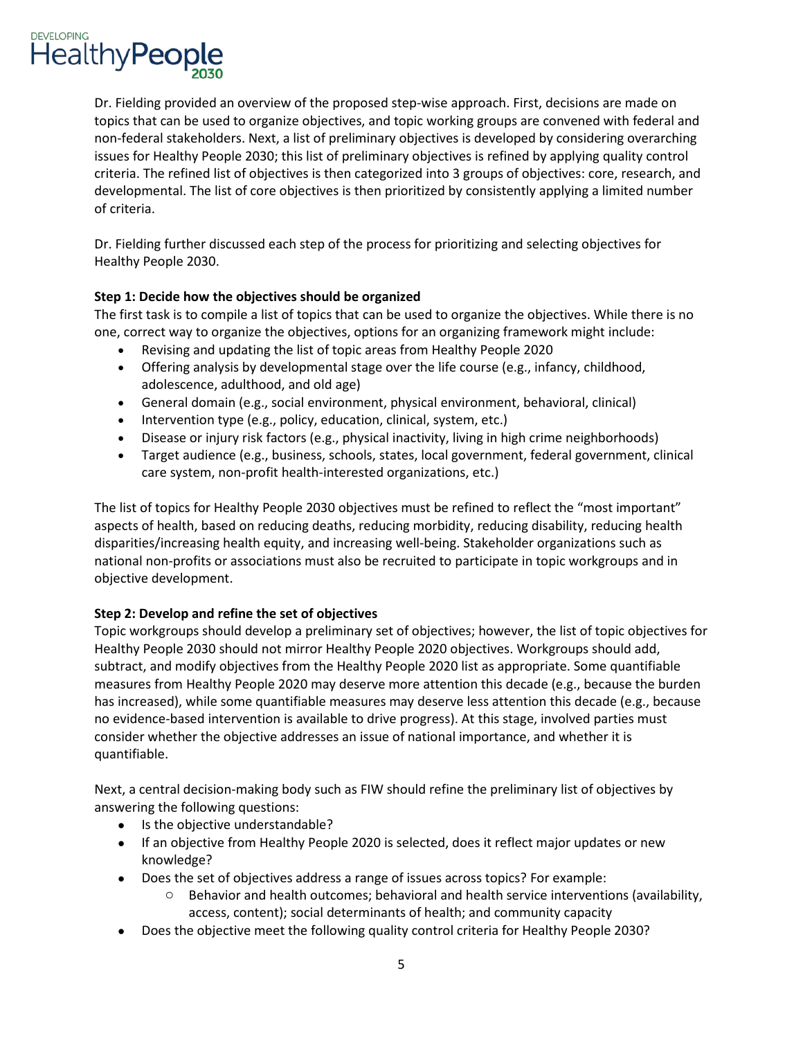

 Dr. Fielding provided an overview of the proposed step-wise approach. First, decisions are made on topics that can be used to organize objectives, and topic working groups are convened with federal and non-federal stakeholders. Next, a list of preliminary objectives is developed by considering overarching issues for Healthy People 2030; this list of preliminary objectives is refined by applying quality control criteria. The refined list of objectives is then categorized into 3 groups of objectives: core, research, and developmental. The list of core objectives is then prioritized by consistently applying a limited number of criteria.

Dr. Fielding further discussed each step of the process for prioritizing and selecting objectives for Healthy People 2030.

### **Step 1: Decide how the objectives should be organized**

 The first task is to compile a list of topics that can be used to organize the objectives. While there is no one, correct way to organize the objectives, options for an organizing framework might include:

- Revising and updating the list of topic areas from Healthy People 2020
- • Offering analysis by developmental stage over the life course (e.g., infancy, childhood, adolescence, adulthood, and old age)
- General domain (e.g., social environment, physical environment, behavioral, clinical)
- Intervention type (e.g., policy, education, clinical, system, etc.)
- Disease or injury risk factors (e.g., physical inactivity, living in high crime neighborhoods)
- Target audience (e.g., business, schools, states, local government, federal government, clinical care system, non-profit health-interested organizations, etc.)

 The list of topics for Healthy People 2030 objectives must be refined to reflect the "most important" national non-profits or associations must also be recruited to participate in topic workgroups and in aspects of health, based on reducing deaths, reducing morbidity, reducing disability, reducing health disparities/increasing health equity, and increasing well-being. Stakeholder organizations such as objective development.

## **Step 2: Develop and refine the set of objectives**

 Topic workgroups should develop a preliminary set of objectives; however, the list of topic objectives for Healthy People 2030 should not mirror Healthy People 2020 objectives. Workgroups should add, subtract, and modify objectives from the Healthy People 2020 list as appropriate. Some quantifiable measures from Healthy People 2020 may deserve more attention this decade (e.g., because the burden has increased), while some quantifiable measures may deserve less attention this decade (e.g., because no evidence-based intervention is available to drive progress). At this stage, involved parties must consider whether the objective addresses an issue of national importance, and whether it is quantifiable.

Next, a central decision-making body such as FIW should refine the preliminary list of objectives by answering the following questions:

- Is the objective understandable?
- If an objective from Healthy People 2020 is selected, does it reflect major updates or new knowledge?
- • Does the set of objectives address a range of issues across topics? For example:
	- $\circ$  Behavior and health outcomes; behavioral and health service interventions (availability, access, content); social determinants of health; and community capacity
- Does the objective meet the following quality control criteria for Healthy People 2030?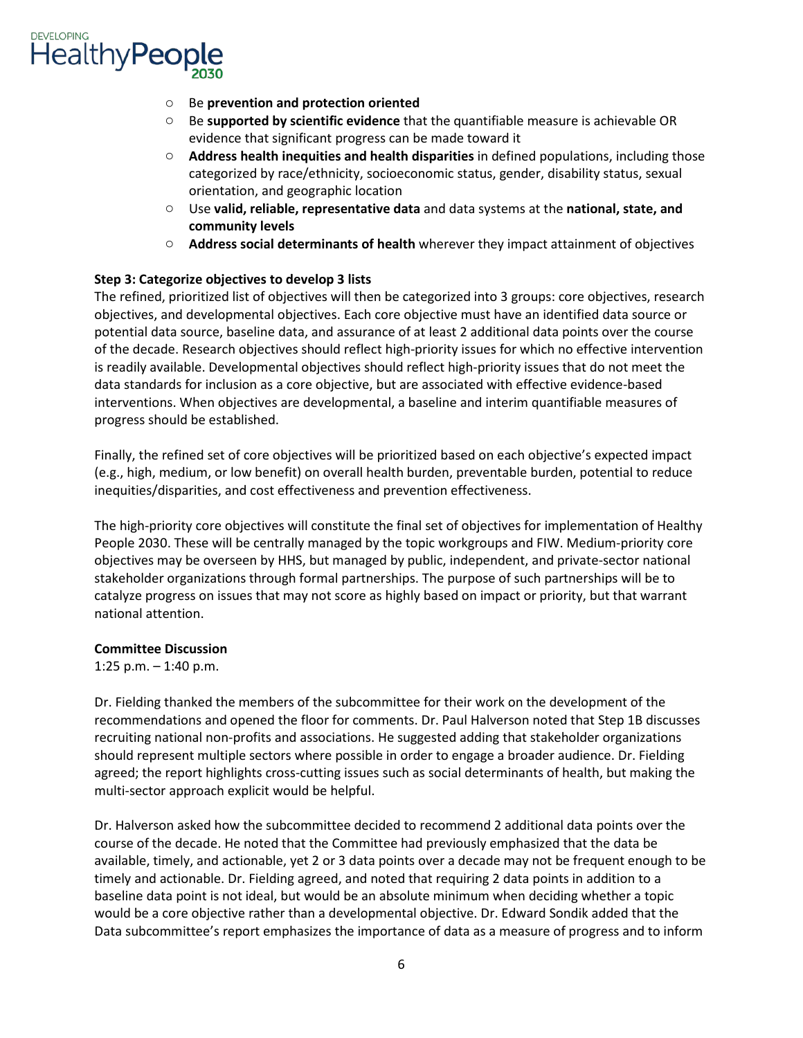

- o Be **prevention and protection oriented**
- o Be **supported by scientific evidence** that the quantifiable measure is achievable OR evidence that significant progress can be made toward it
- o **Address health inequities and health disparities** in defined populations, including those categorized by race/ethnicity, socioeconomic status, gender, disability status, sexual orientation, and geographic location
- o Use **valid, reliable, representative data** and data systems at the **national, state, and community levels**
- o **Address social determinants of health** wherever they impact attainment of objectives

### **Step 3: Categorize objectives to develop 3 lists**

 The refined, prioritized list of objectives will then be categorized into 3 groups: core objectives, research objectives, and developmental objectives. Each core objective must have an identified data source or potential data source, baseline data, and assurance of at least 2 additional data points over the course of the decade. Research objectives should reflect high-priority issues for which no effective intervention is readily available. Developmental objectives should reflect high-priority issues that do not meet the data standards for inclusion as a core objective, but are associated with effective evidence-based interventions. When objectives are developmental, a baseline and interim quantifiable measures of progress should be established.

 (e.g., high, medium, or low benefit) on overall health burden, preventable burden, potential to reduce Finally, the refined set of core objectives will be prioritized based on each objective's expected impact inequities/disparities, and cost effectiveness and prevention effectiveness.

 People 2030. These will be centrally managed by the topic workgroups and FIW. Medium-priority core objectives may be overseen by HHS, but managed by public, independent, and private-sector national catalyze progress on issues that may not score as highly based on impact or priority, but that warrant The high-priority core objectives will constitute the final set of objectives for implementation of Healthy stakeholder organizations through formal partnerships. The purpose of such partnerships will be to national attention.

### **Committee Discussion**

1:25 p.m. – 1:40 p.m.

 should represent multiple sectors where possible in order to engage a broader audience. Dr. Fielding agreed; the report highlights cross-cutting issues such as social determinants of health, but making the Dr. Fielding thanked the members of the subcommittee for their work on the development of the recommendations and opened the floor for comments. Dr. Paul Halverson noted that Step 1B discusses recruiting national non-profits and associations. He suggested adding that stakeholder organizations multi-sector approach explicit would be helpful.

 baseline data point is not ideal, but would be an absolute minimum when deciding whether a topic Data subcommittee's report emphasizes the importance of data as a measure of progress and to inform Dr. Halverson asked how the subcommittee decided to recommend 2 additional data points over the course of the decade. He noted that the Committee had previously emphasized that the data be available, timely, and actionable, yet 2 or 3 data points over a decade may not be frequent enough to be timely and actionable. Dr. Fielding agreed, and noted that requiring 2 data points in addition to a would be a core objective rather than a developmental objective. Dr. Edward Sondik added that the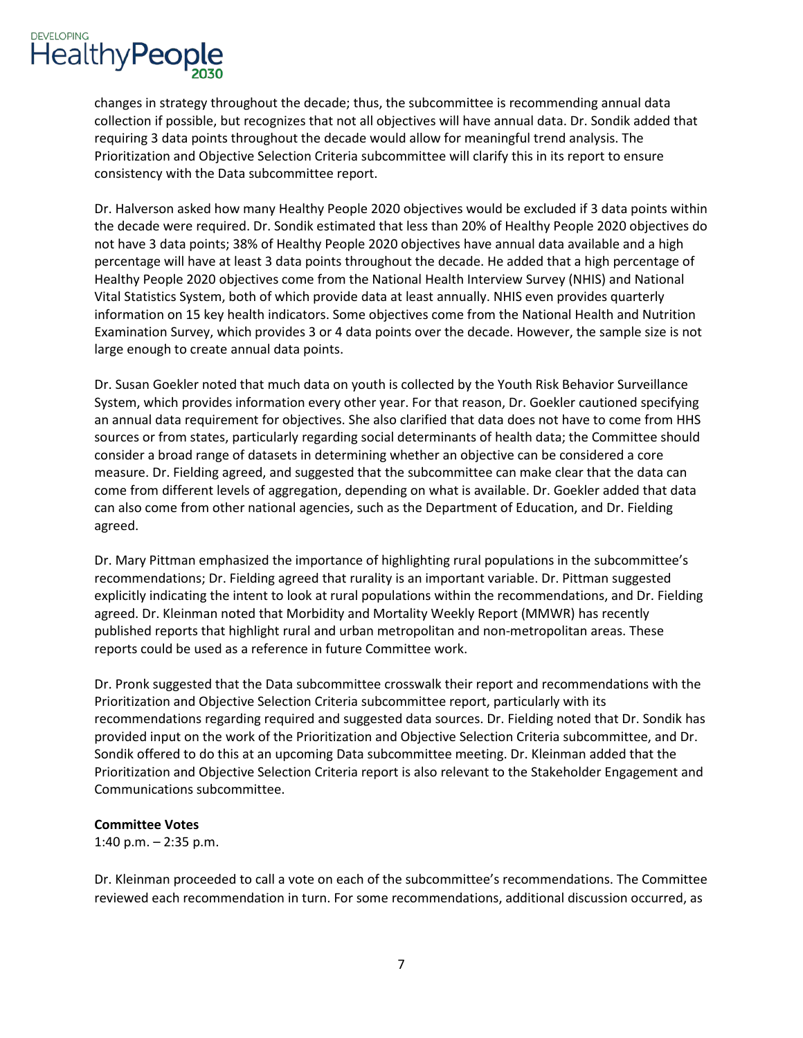

 collection if possible, but recognizes that not all objectives will have annual data. Dr. Sondik added that requiring 3 data points throughout the decade would allow for meaningful trend analysis. The consistency with the Data subcommittee report. changes in strategy throughout the decade; thus, the subcommittee is recommending annual data Prioritization and Objective Selection Criteria subcommittee will clarify this in its report to ensure

 Dr. Halverson asked how many Healthy People 2020 objectives would be excluded if 3 data points within the decade were required. Dr. Sondik estimated that less than 20% of Healthy People 2020 objectives do not have 3 data points; 38% of Healthy People 2020 objectives have annual data available and a high percentage will have at least 3 data points throughout the decade. He added that a high percentage of Healthy People 2020 objectives come from the National Health Interview Survey (NHIS) and National Vital Statistics System, both of which provide data at least annually. NHIS even provides quarterly information on 15 key health indicators. Some objectives come from the National Health and Nutrition Examination Survey, which provides 3 or 4 data points over the decade. However, the sample size is not large enough to create annual data points.

 consider a broad range of datasets in determining whether an objective can be considered a core Dr. Susan Goekler noted that much data on youth is collected by the Youth Risk Behavior Surveillance System, which provides information every other year. For that reason, Dr. Goekler cautioned specifying an annual data requirement for objectives. She also clarified that data does not have to come from HHS sources or from states, particularly regarding social determinants of health data; the Committee should measure. Dr. Fielding agreed, and suggested that the subcommittee can make clear that the data can come from different levels of aggregation, depending on what is available. Dr. Goekler added that data can also come from other national agencies, such as the Department of Education, and Dr. Fielding agreed.

 Dr. Mary Pittman emphasized the importance of highlighting rural populations in the subcommittee's recommendations; Dr. Fielding agreed that rurality is an important variable. Dr. Pittman suggested agreed. Dr. Kleinman noted that Morbidity and Mortality Weekly Report (MMWR) has recently reports could be used as a reference in future Committee work. explicitly indicating the intent to look at rural populations within the recommendations, and Dr. Fielding published reports that highlight rural and urban metropolitan and non-metropolitan areas. These

 Prioritization and Objective Selection Criteria subcommittee report, particularly with its provided input on the work of the Prioritization and Objective Selection Criteria subcommittee, and Dr. Sondik offered to do this at an upcoming Data subcommittee meeting. Dr. Kleinman added that the Dr. Pronk suggested that the Data subcommittee crosswalk their report and recommendations with the recommendations regarding required and suggested data sources. Dr. Fielding noted that Dr. Sondik has Prioritization and Objective Selection Criteria report is also relevant to the Stakeholder Engagement and Communications subcommittee.

### **Committee Votes**

1:40 p.m. – 2:35 p.m.

 reviewed each recommendation in turn. For some recommendations, additional discussion occurred, as Dr. Kleinman proceeded to call a vote on each of the subcommittee's recommendations. The Committee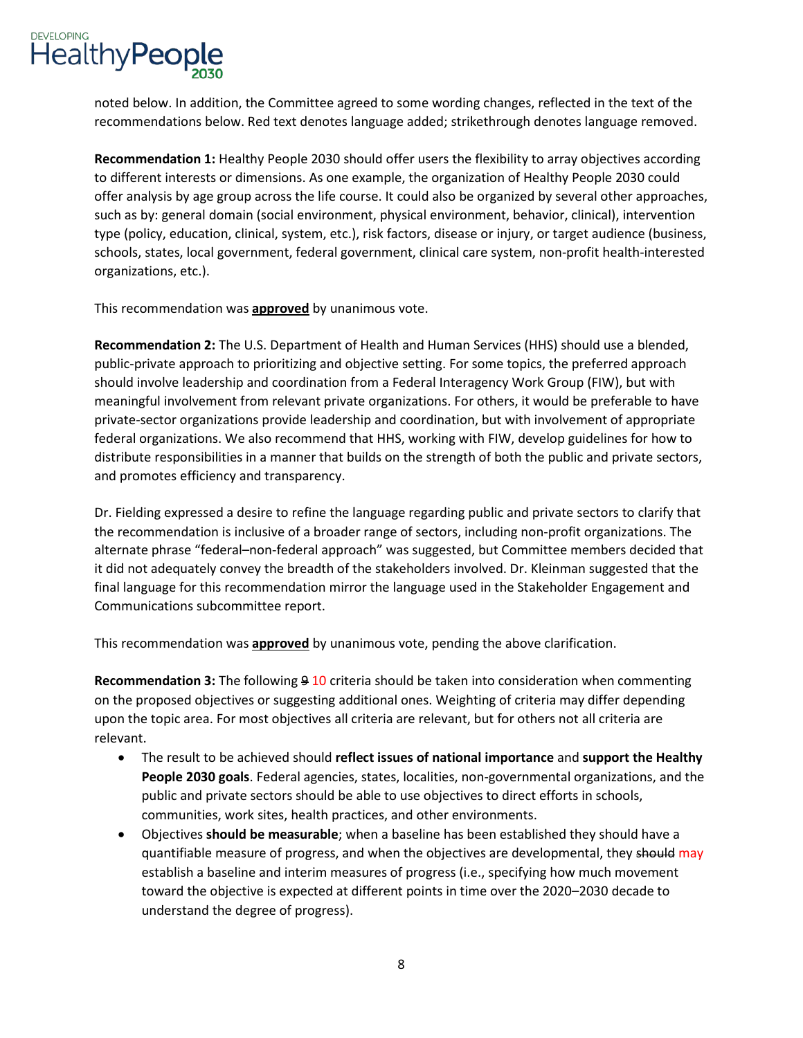

 noted below. In addition, the Committee agreed to some wording changes, reflected in the text of the recommendations below. Red text denotes language added; strikethrough denotes language removed.

 **Recommendation 1:** Healthy People 2030 should offer users the flexibility to array objectives according to different interests or dimensions. As one example, the organization of Healthy People 2030 could type (policy, education, clinical, system, etc.), risk factors, disease or injury, or target audience (business, offer analysis by age group across the life course. It could also be organized by several other approaches, such as by: general domain (social environment, physical environment, behavior, clinical), intervention schools, states, local government, federal government, clinical care system, non-profit health-interested organizations, etc.).

This recommendation was **approved** by unanimous vote.

 federal organizations. We also recommend that HHS, working with FIW, develop guidelines for how to distribute responsibilities in a manner that builds on the strength of both the public and private sectors, **Recommendation 2:** The U.S. Department of Health and Human Services (HHS) should use a blended, public-private approach to prioritizing and objective setting. For some topics, the preferred approach should involve leadership and coordination from a Federal Interagency Work Group (FIW), but with meaningful involvement from relevant private organizations. For others, it would be preferable to have private-sector organizations provide leadership and coordination, but with involvement of appropriate and promotes efficiency and transparency.

Dr. Fielding expressed a desire to refine the language regarding public and private sectors to clarify that the recommendation is inclusive of a broader range of sectors, including non-profit organizations. The alternate phrase "federal–non-federal approach" was suggested, but Committee members decided that it did not adequately convey the breadth of the stakeholders involved. Dr. Kleinman suggested that the final language for this recommendation mirror the language used in the Stakeholder Engagement and Communications subcommittee report.

This recommendation was **approved** by unanimous vote, pending the above clarification.

Recommendation 3: The following 9 10 criteria should be taken into consideration when commenting upon the topic area. For most objectives all criteria are relevant, but for others not all criteria are on the proposed objectives or suggesting additional ones. Weighting of criteria may differ depending relevant.

- **People 2030 goals**. Federal agencies, states, localities, non-governmental organizations, and the public and private sectors should be able to use objectives to direct efforts in schools, • The result to be achieved should **reflect issues of national importance** and **support the Healthy**  communities, work sites, health practices, and other environments.
- • Objectives **should be measurable**; when a baseline has been established they should have a quantifiable measure of progress, and when the objectives are developmental, they should may establish a baseline and interim measures of progress (i.e., specifying how much movement toward the objective is expected at different points in time over the 2020–2030 decade to understand the degree of progress).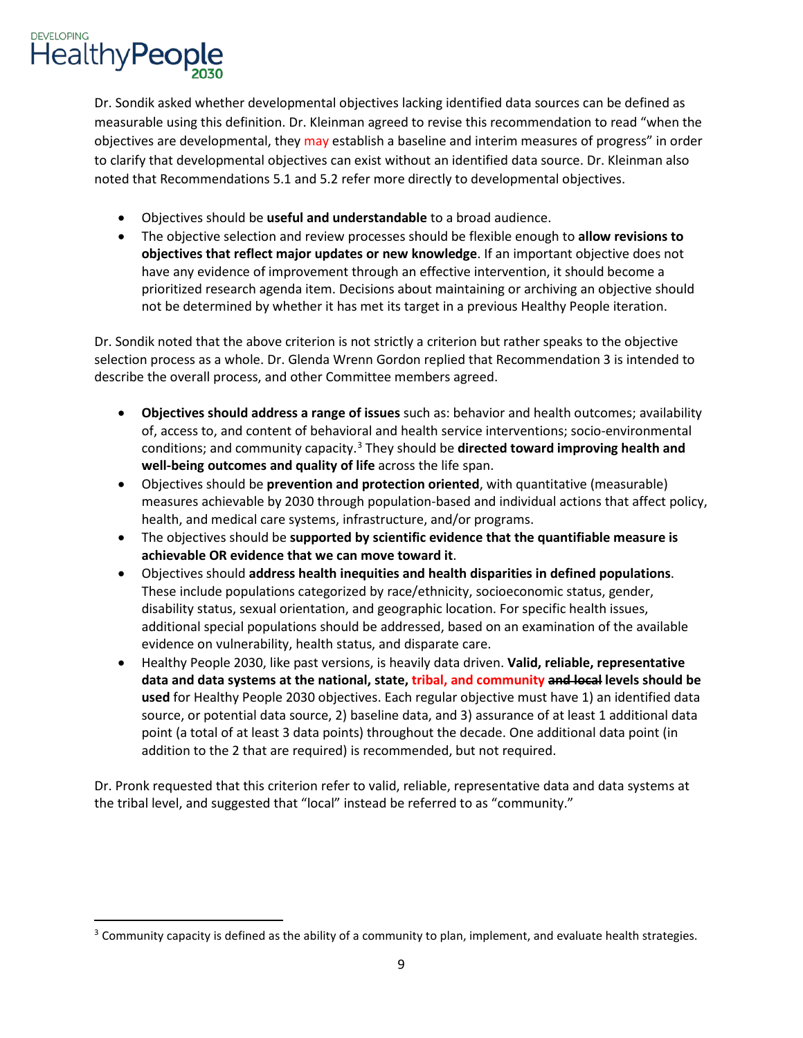

<u>.</u>

 measurable using this definition. Dr. Kleinman agreed to revise this recommendation to read "when the objectives are developmental, they may establish a baseline and interim measures of progress" in order noted that Recommendations 5.1 and 5.2 refer more directly to developmental objectives. Dr. Sondik asked whether developmental objectives lacking identified data sources can be defined as to clarify that developmental objectives can exist without an identified data source. Dr. Kleinman also

- Objectives should be **useful and understandable** to a broad audience.
- **objectives that reflect major updates or new knowledge**. If an important objective does not • The objective selection and review processes should be flexible enough to **allow revisions to**  have any evidence of improvement through an effective intervention, it should become a prioritized research agenda item. Decisions about maintaining or archiving an objective should not be determined by whether it has met its target in a previous Healthy People iteration.

Dr. Sondik noted that the above criterion is not strictly a criterion but rather speaks to the objective selection process as a whole. Dr. Glenda Wrenn Gordon replied that Recommendation 3 is intended to describe the overall process, and other Committee members agreed.

- **Objectives should address a range of issues** such as: behavior and health outcomes; availability of, access to, and content of behavioral and health service interventions; socio-environmental conditions; and community capacity.[3](#page-8-0) They should be **directed toward improving health and well-being outcomes and quality of life** across the life span.
- • Objectives should be **prevention and protection oriented**, with quantitative (measurable) measures achievable by 2030 through population-based and individual actions that affect policy, health, and medical care systems, infrastructure, and/or programs.
- The objectives should be **supported by scientific evidence that the quantifiable measure is achievable OR evidence that we can move toward it**.
- disability status, sexual orientation, and geographic location. For specific health issues, additional special populations should be addressed, based on an examination of the available • Objectives should **address health inequities and health disparities in defined populations**. These include populations categorized by race/ethnicity, socioeconomic status, gender, evidence on vulnerability, health status, and disparate care.
- • Healthy People 2030, like past versions, is heavily data driven. **Valid, reliable, representative**  source, or potential data source, 2) baseline data, and 3) assurance of at least 1 additional data point (a total of at least 3 data points) throughout the decade. One additional data point (in **data and data systems at the national, state, tribal, and community and local levels should be used** for Healthy People 2030 objectives. Each regular objective must have 1) an identified data addition to the 2 that are required) is recommended, but not required.

 the tribal level, and suggested that "local" instead be referred to as "community." Dr. Pronk requested that this criterion refer to valid, reliable, representative data and data systems at

<span id="page-8-0"></span> $3$  Community capacity is defined as the ability of a community to plan, implement, and evaluate health strategies.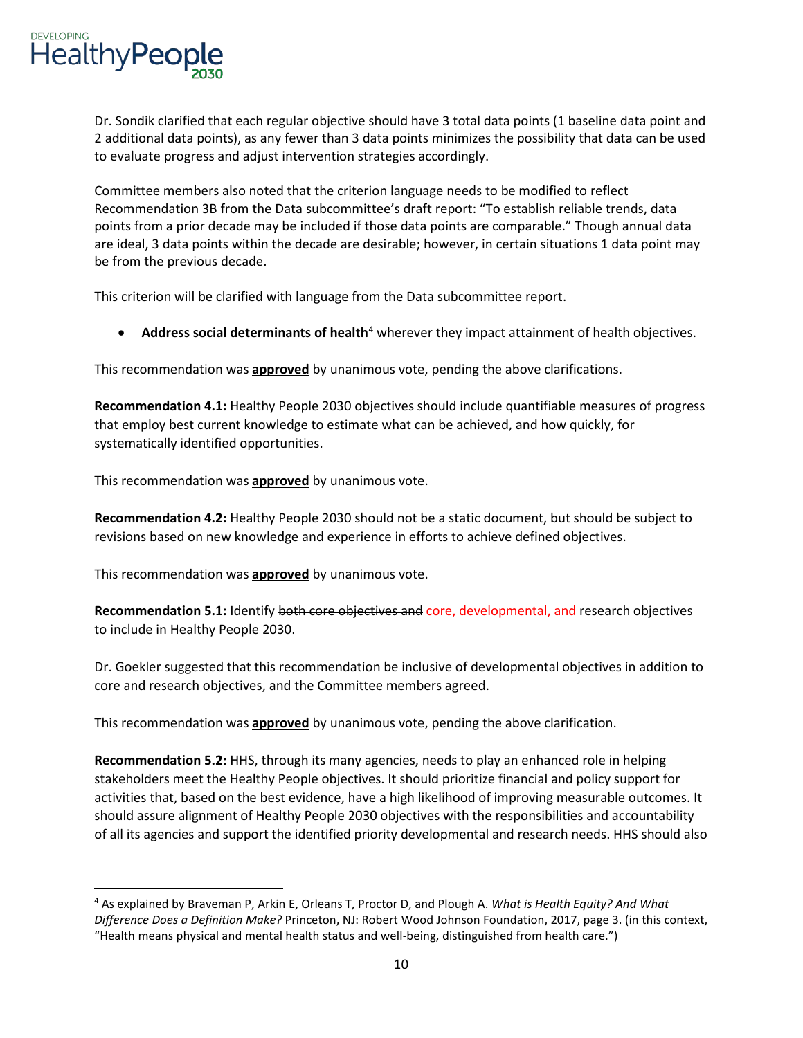

<u>.</u>

 Dr. Sondik clarified that each regular objective should have 3 total data points (1 baseline data point and 2 additional data points), as any fewer than 3 data points minimizes the possibility that data can be used to evaluate progress and adjust intervention strategies accordingly.

 Committee members also noted that the criterion language needs to be modified to reflect are ideal, 3 data points within the decade are desirable; however, in certain situations 1 data point may Recommendation 3B from the Data subcommittee's draft report: "To establish reliable trends, data points from a prior decade may be included if those data points are comparable." Though annual data be from the previous decade.

This criterion will be clarified with language from the Data subcommittee report.

**• Address social determinants of health**<sup>4</sup> wherever they impact attainment of health objectives.

This recommendation was **approved** by unanimous vote, pending the above clarifications.

 **Recommendation 4.1:** Healthy People 2030 objectives should include quantifiable measures of progress that employ best current knowledge to estimate what can be achieved, and how quickly, for systematically identified opportunities.

This recommendation was **approved** by unanimous vote.

 **Recommendation 4.2:** Healthy People 2030 should not be a static document, but should be subject to revisions based on new knowledge and experience in efforts to achieve defined objectives.

This recommendation was **approved** by unanimous vote.

**Recommendation 5.1:** Identify both core objectives and core, developmental, and research objectives to include in Healthy People 2030.

 Dr. Goekler suggested that this recommendation be inclusive of developmental objectives in addition to core and research objectives, and the Committee members agreed.

This recommendation was **approved** by unanimous vote, pending the above clarification.

 **Recommendation 5.2:** HHS, through its many agencies, needs to play an enhanced role in helping stakeholders meet the Healthy People objectives. It should prioritize financial and policy support for activities that, based on the best evidence, have a high likelihood of improving measurable outcomes. It should assure alignment of Healthy People 2030 objectives with the responsibilities and accountability of all its agencies and support the identified priority developmental and research needs. HHS should also

<span id="page-9-0"></span><sup>4</sup> As explained by Braveman P, Arkin E, Orleans T, Proctor D, and Plough A. *What is Health Equity? And What Difference Does a Definition Make?* Princeton, NJ: Robert Wood Johnson Foundation, 2017, page 3. (in this context, "Health means physical and mental health status and well-being, distinguished from health care.")